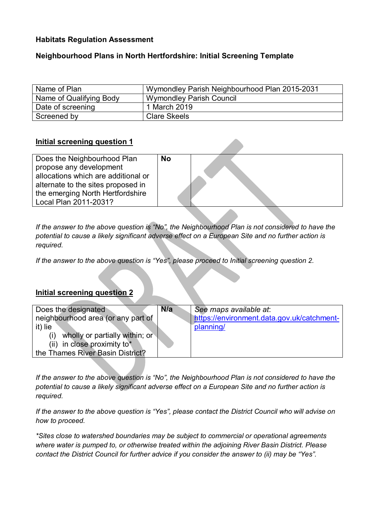# **Habitats Regulation Assessment**

# **Neighbourhood Plans in North Hertfordshire: Initial Screening Template**

| Name of Plan            | Wymondley Parish Neighbourhood Plan 2015-2031 |
|-------------------------|-----------------------------------------------|
| Name of Qualifying Body | <b>Wymondley Parish Council</b>               |
| Date of screening       | 1 March 2019                                  |
| Screened by             | <b>Clare Skeels</b>                           |

### **Initial screening question 1**

| Does the Neighbourhood Plan         | <b>No</b> |  |
|-------------------------------------|-----------|--|
|                                     |           |  |
| propose any development             |           |  |
|                                     |           |  |
| allocations which are additional or |           |  |
|                                     |           |  |
| alternate to the sites proposed in  |           |  |
|                                     |           |  |
| the emerging North Hertfordshire    |           |  |
|                                     |           |  |
| Local Plan 2011-2031?               |           |  |
|                                     |           |  |

*If the answer to the above question is "No", the Neighbourhood Plan is not considered to have the potential to cause a likely significant adverse effect on a European Site and no further action is required.* 

*If the answer to the above question is "Yes", please proceed to Initial screening question 2.* 

### **Initial screening question 2**

| Does the designated                   | N/a | See maps available at:                     |
|---------------------------------------|-----|--------------------------------------------|
| neighbourhood area (or any part of    |     | https://environment.data.gov.uk/catchment- |
| it) lie                               |     | planning/                                  |
| wholly or partially within; or<br>(i) |     |                                            |
| (ii) in close proximity to*           |     |                                            |
| the Thames River Basin District?      |     |                                            |
|                                       |     |                                            |

*If the answer to the above question is "No", the Neighbourhood Plan is not considered to have the potential to cause a likely significant adverse effect on a European Site and no further action is required.* 

*If the answer to the above question is "Yes", please contact the District Council who will advise on how to proceed.* 

*\*Sites close to watershed boundaries may be subject to commercial or operational agreements where water is pumped to, or otherwise treated within the adjoining River Basin District. Please contact the District Council for further advice if you consider the answer to (ii) may be "Yes".*